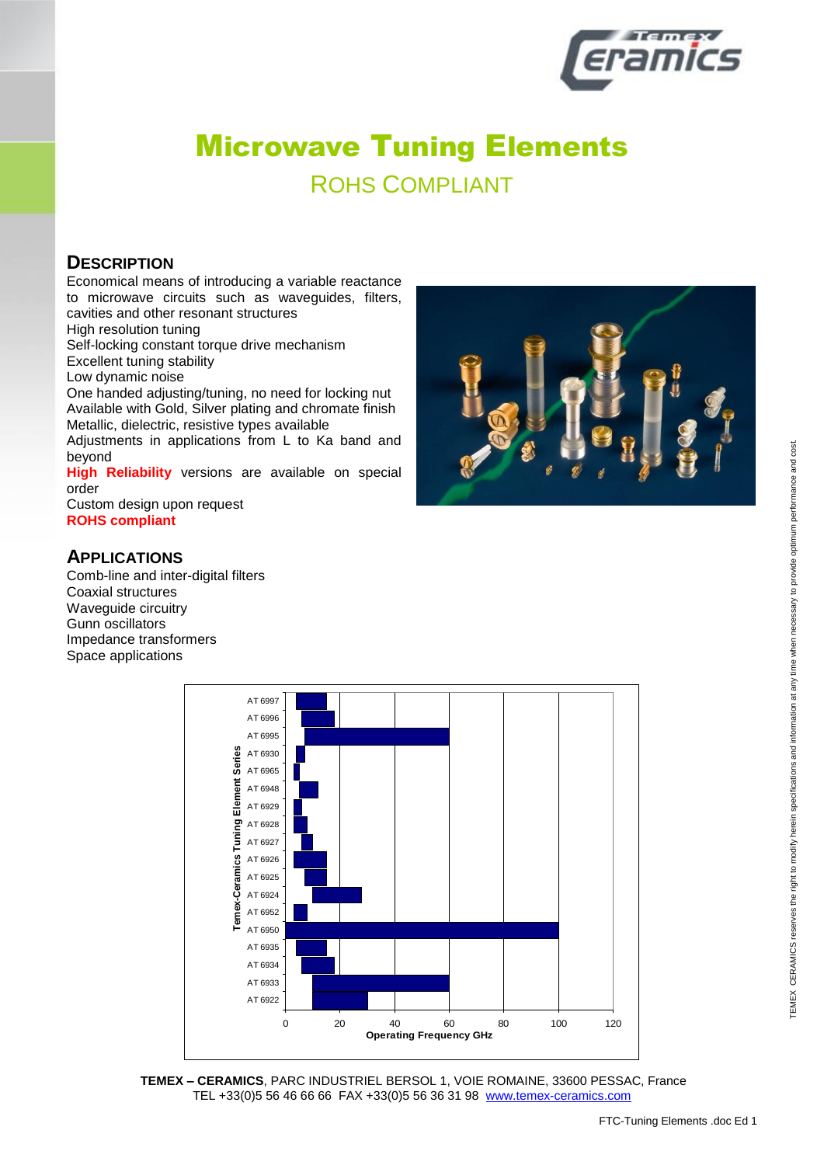

ROHS COMPLIANT

#### **DESCRIPTION**

Economical means of introducing a variable reactance to microwave circuits such as waveguides, filters, cavities and other resonant structures

High resolution tuning

Self-locking constant torque drive mechanism

Excellent tuning stability

Low dynamic noise

One handed adjusting/tuning, no need for locking nut Available with Gold, Silver plating and chromate finish Metallic, dielectric, resistive types available

Adjustments in applications from L to Ka band and beyond

**High Reliability** versions are available on special order

Custom design upon request **ROHS compliant**

#### **APPLICATIONS**

Comb-line and inter-digital filters Coaxial structures Waveguide circuitry Gunn oscillators Impedance transformers Space applications



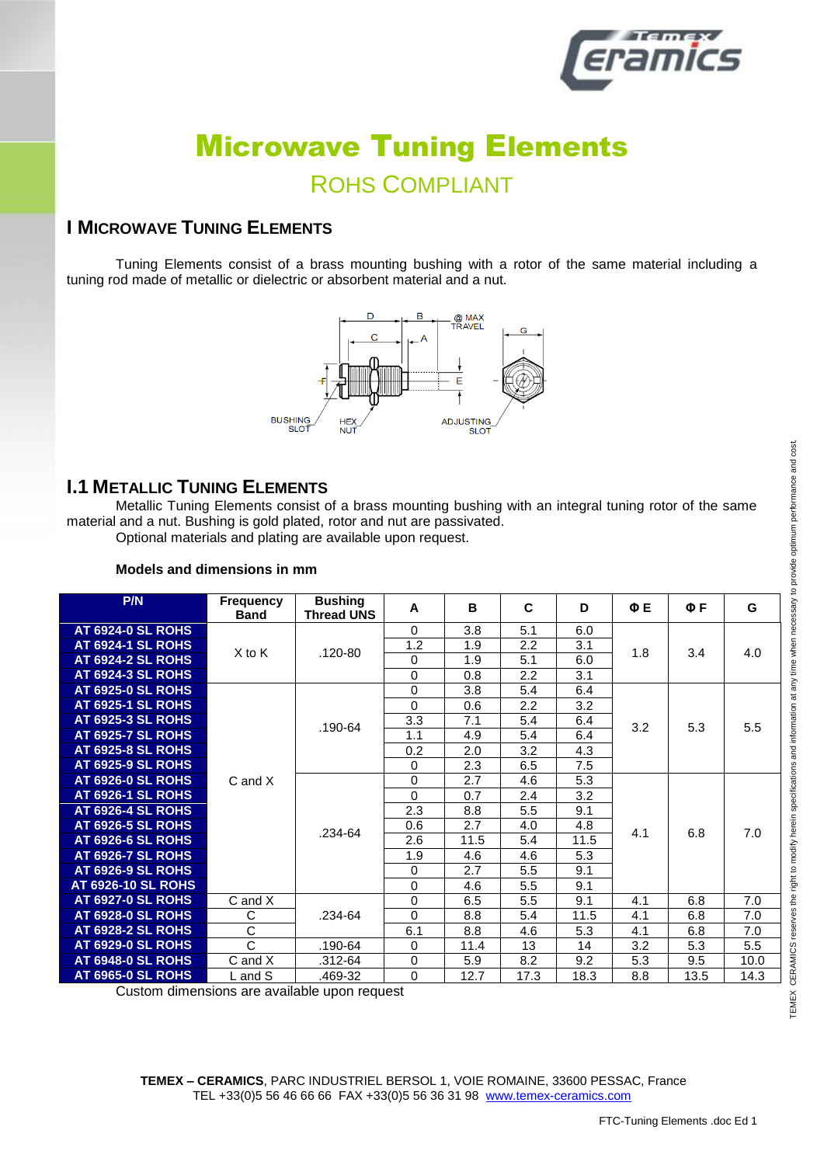

ROHS COMPLIANT

#### **I MICROWAVE TUNING ELEMENTS**

Tuning Elements consist of a brass mounting bushing with a rotor of the same material including a tuning rod made of metallic or dielectric or absorbent material and a nut.



#### **I.1 METALLIC TUNING ELEMENTS**

Metallic Tuning Elements consist of a brass mounting bushing with an integral tuning rotor of the same material and a nut. Bushing is gold plated, rotor and nut are passivated.

Optional materials and plating are available upon request.

| P/N                       | Frequency<br><b>Band</b>    | <b>Bushing</b><br><b>Thread UNS</b> | A           | B    | C    | D    | ΦE  | $\Phi$ F | G    |
|---------------------------|-----------------------------|-------------------------------------|-------------|------|------|------|-----|----------|------|
| <b>AT 6924-0 SL ROHS</b>  |                             |                                     | $\Omega$    | 3.8  | 5.1  | 6.0  |     |          |      |
| <b>AT 6924-1 SL ROHS</b>  |                             |                                     | 1.2         | 1.9  | 2.2  | 3.1  |     |          |      |
| <b>AT 6924-2 SL ROHS</b>  | $X$ to $K$                  | $.120 - 80$                         | $\Omega$    | 1.9  | 5.1  | 6.0  | 1.8 | 3.4      | 4.0  |
| <b>AT 6924-3 SL ROHS</b>  |                             |                                     | 0           | 0.8  | 2.2  | 3.1  |     |          |      |
| <b>AT 6925-0 SL ROHS</b>  |                             |                                     | $\Omega$    | 3.8  | 5.4  | 6.4  |     |          |      |
| <b>AT 6925-1 SL ROHS</b>  |                             |                                     | $\Omega$    | 0.6  | 2.2  | 3.2  |     |          |      |
| <b>AT 6925-3 SL ROHS</b>  |                             |                                     | 3.3         | 7.1  | 5.4  | 6.4  | 3.2 | 5.3      | 5.5  |
| <b>AT 6925-7 SL ROHS</b>  |                             | $.190 - 64$                         | 1.1         | 4.9  | 5.4  | 6.4  |     |          |      |
| <b>AT 6925-8 SL ROHS</b>  |                             |                                     | 0.2         | 2.0  | 3.2  | 4.3  |     |          |      |
| <b>AT 6925-9 SL ROHS</b>  |                             |                                     | 0           | 2.3  | 6.5  | 7.5  |     |          |      |
| <b>AT 6926-0 SL ROHS</b>  | $C$ and $X$                 | .234-64                             | $\Omega$    | 2.7  | 4.6  | 5.3  | 4.1 | 6.8      | 7.0  |
| <b>AT 6926-1 SL ROHS</b>  |                             |                                     | $\Omega$    | 0.7  | 2.4  | 3.2  |     |          |      |
| <b>AT 6926-4 SL ROHS</b>  |                             |                                     | 2.3         | 8.8  | 5.5  | 9.1  |     |          |      |
| <b>AT 6926-5 SL ROHS</b>  |                             |                                     | 0.6         | 2.7  | 4.0  | 4.8  |     |          |      |
| <b>AT 6926-6 SL ROHS</b>  |                             |                                     | 2.6         | 11.5 | 5.4  | 11.5 |     |          |      |
| <b>AT 6926-7 SL ROHS</b>  |                             |                                     | 1.9         | 4.6  | 4.6  | 5.3  |     |          |      |
| <b>AT 6926-9 SL ROHS</b>  |                             |                                     | $\Omega$    | 2.7  | 5.5  | 9.1  |     |          |      |
| <b>AT 6926-10 SL ROHS</b> |                             |                                     | $\mathbf 0$ | 4.6  | 5.5  | 9.1  |     |          |      |
| <b>AT 6927-0 SL ROHS</b>  | C and X                     |                                     | $\Omega$    | 6.5  | 5.5  | 9.1  | 4.1 | 6.8      | 7.0  |
| <b>AT 6928-0 SL ROHS</b>  | C                           | .234-64                             | $\Omega$    | 8.8  | 5.4  | 11.5 | 4.1 | 6.8      | 7.0  |
| <b>AT 6928-2 SL ROHS</b>  | $\overline{\text{c}}$       |                                     | 6.1         | 8.8  | 4.6  | 5.3  | 4.1 | 6.8      | 7.0  |
| <b>AT 6929-0 SL ROHS</b>  | $\mathsf{C}$                | .190-64                             | $\Omega$    | 11.4 | 13   | 14   | 3.2 | 5.3      | 5.5  |
| <b>AT 6948-0 SL ROHS</b>  | $C$ and $X$                 | .312-64                             | 0           | 5.9  | 8.2  | 9.2  | 5.3 | 9.5      | 10.0 |
| <b>AT 6965-0 SL ROHS</b>  | $\mathsf L$ and $\mathsf S$ | .469-32                             | 0           | 12.7 | 17.3 | 18.3 | 8.8 | 13.5     | 14.3 |

#### **Models and dimensions in mm**

Custom dimensions are available upon request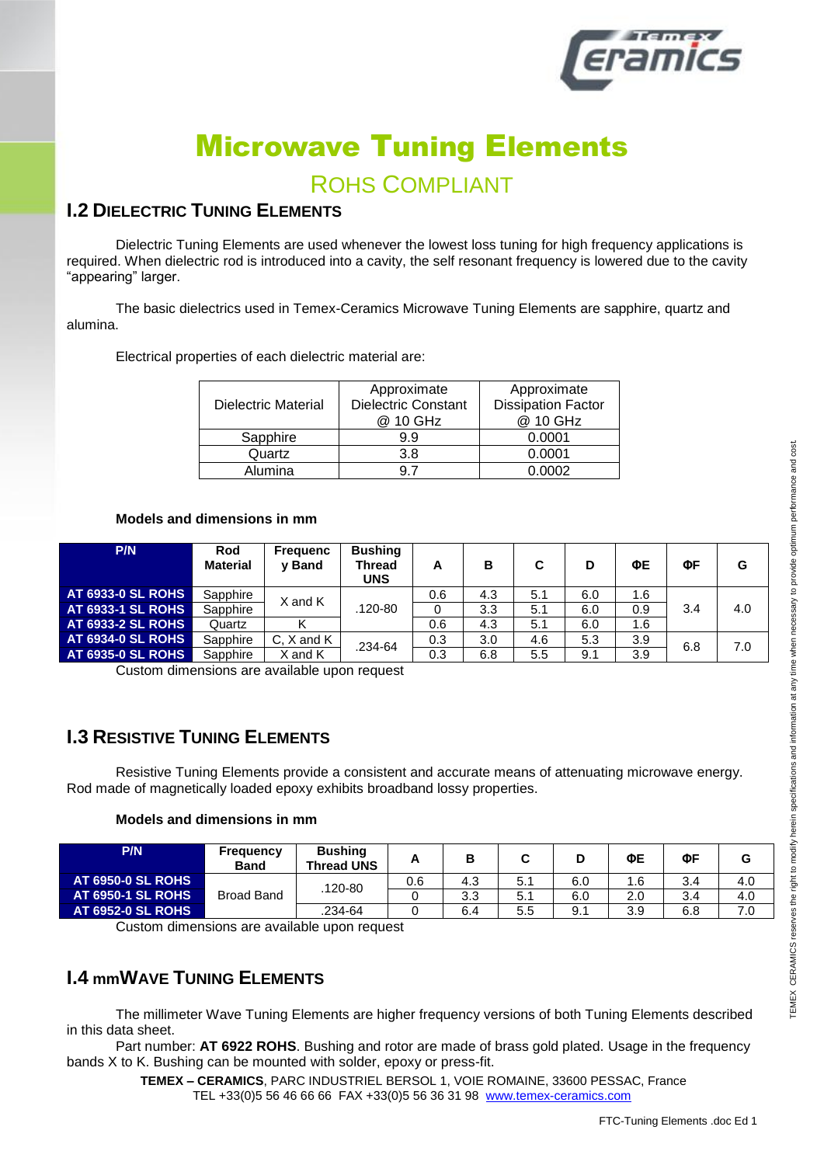

### **ROHS COMPLIANT**

#### **1.2 DIELECTRIC TUNING ELEMENTS**

Dielectric Tuning Elements are used whenever the lowest loss tuning for high frequency applications is required. When dielectric rod is introduced into a cavity, the self resonant frequency is lowered due to the cavity "appearing" larger.

The basic dielectrics used in Temex-Ceramics Microwave Tuning Elements are sapphire, quartz and alumina.

Electrical properties of each dielectric material are:

| Dielectric Material | Approximate<br>Dielectric Constant<br>@ 10 GHz | Approximate<br><b>Dissipation Factor</b><br>@ 10 GHz |  |  |
|---------------------|------------------------------------------------|------------------------------------------------------|--|--|
| Sapphire            | 9.9                                            | 0.0001                                               |  |  |
| Quartz              | 3.8                                            | 0.0001                                               |  |  |
| Alumina             |                                                | 0.0002                                               |  |  |

#### Models and dimensions in mm

| P/N                      | Rod<br><b>Material</b> | <b>Frequenc</b><br>v Band | <b>Bushing</b><br><b>Thread</b><br><b>UNS</b> | А   | в   |     | D   | ΦE  | ΦF  | G   |
|--------------------------|------------------------|---------------------------|-----------------------------------------------|-----|-----|-----|-----|-----|-----|-----|
| <b>AT 6933-0 SL ROHS</b> | Sapphire               | X and K                   |                                               | 0.6 | 4.3 | 5.1 | 6.0 | 1.6 |     |     |
| <b>AT 6933-1 SL ROHS</b> | Sapphire               |                           | .120-80                                       | 0   | 3.3 | 5.1 | 6.0 | 0.9 | 3.4 | 4.0 |
| <b>AT 6933-2 SL ROHS</b> | Quartz                 |                           |                                               | 0.6 | 4.3 | 5.1 | 6.0 | 1.6 |     |     |
| <b>AT 6934-0 SL ROHS</b> | Sapphire               | C, X and K                | .234-64<br>and K                              | 0.3 | 3.0 | 4.6 | 5.3 | 3.9 | 6.8 | 7.0 |
| <b>AT 6935-0 SL ROHS</b> | Sapphire               |                           |                                               | 0.3 | 6.8 | 5.5 | 9.1 | 3.9 |     |     |

Custom dimensions are available upon request

#### **L3 RESISTIVE TUNING ELEMENTS**

Resistive Tuning Elements provide a consistent and accurate means of attenuating microwave energy. Rod made of magnetically loaded epoxy exhibits broadband lossy properties.

#### Models and dimensions in mm

| <b>P/N</b>               | Frequency<br><b>Band</b> | <b>Bushing</b><br><b>Thread UNS</b> | n   | Р   |     |     | ФЕ         | ΦF  | G   |
|--------------------------|--------------------------|-------------------------------------|-----|-----|-----|-----|------------|-----|-----|
| <b>AT 6950-0 SL ROHS</b> |                          |                                     | 0.6 | 4.3 | 5.1 | 6.0 | 6.،        | 3.4 | 4.0 |
| <b>AT 6950-1 SL ROHS</b> | <b>Broad Band</b>        | 120-80                              |     | 3.3 | 5.1 | 6.0 | 2.0        | 3.4 | 4.0 |
| <b>AT 6952-0 SL ROHS</b> |                          | 234-64                              |     | 6.4 | 5.5 | 9.1 | ર વ<br>ు.ర | 6.8 | 7.0 |

Custom dimensions are available upon request

#### **1.4 mmWAVE TUNING ELEMENTS**

The millimeter Wave Tuning Elements are higher frequency versions of both Tuning Elements described in this data sheet.

Part number: AT 6922 ROHS. Bushing and rotor are made of brass gold plated. Usage in the frequency bands X to K. Bushing can be mounted with solder, epoxy or press-fit.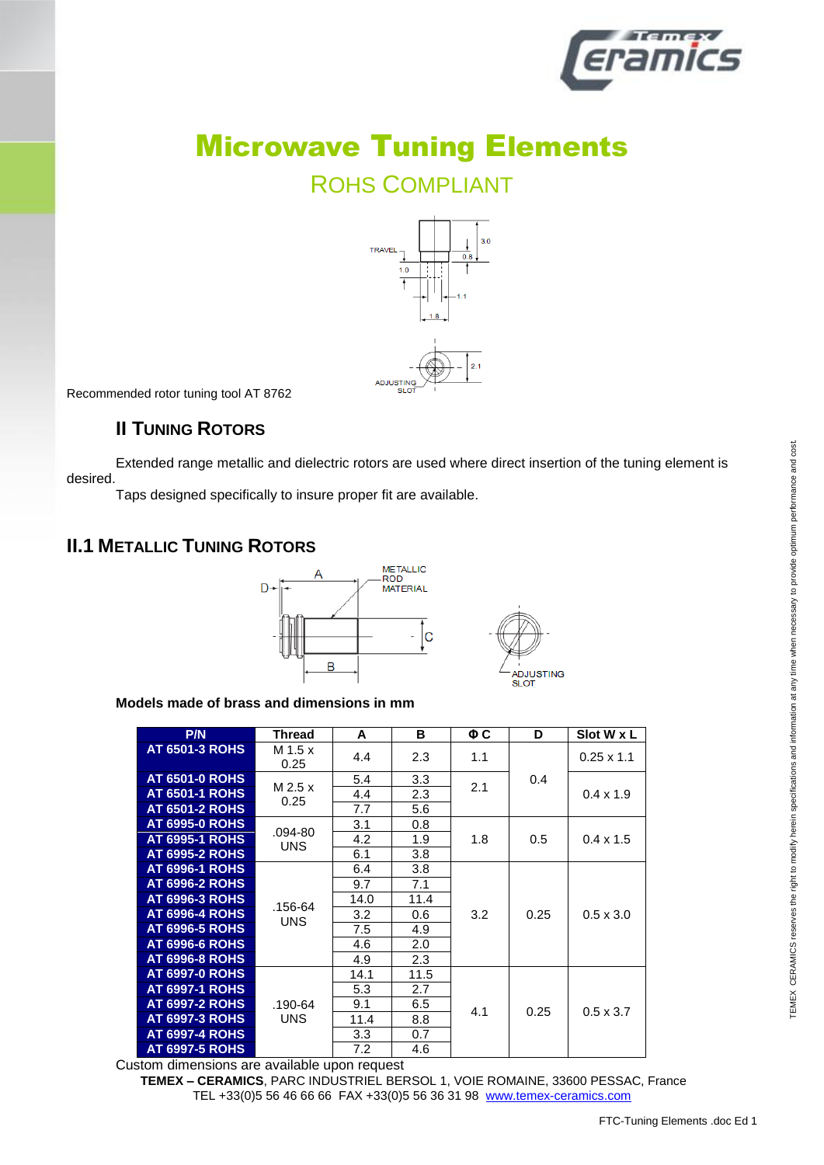

### ROHS COMPLIANT



Recommended rotor tuning tool AT 8762

#### **II TUNING ROTORS**

Extended range metallic and dielectric rotors are used where direct insertion of the tuning element is desired.

Taps designed specifically to insure proper fit are available.

#### **II.1 METALLIC TUNING ROTORS**



**Models made of brass and dimensions in mm**

| P/N                   | Thread          | A    | в    | $\Phi C$ | D    | Slot W x L        |
|-----------------------|-----------------|------|------|----------|------|-------------------|
| <b>AT 6501-3 ROHS</b> | M 1.5 x<br>0.25 | 4.4  | 2.3  | 1.1      |      | $0.25 \times 1.1$ |
| <b>AT 6501-0 ROHS</b> | M 2.5 x         | 5.4  | 3.3  | 2.1      | 0.4  |                   |
| <b>AT 6501-1 ROHS</b> | 0.25            | 4.4  | 2.3  |          |      | $0.4 \times 1.9$  |
| <b>AT 6501-2 ROHS</b> |                 | 7.7  | 5.6  |          |      |                   |
| <b>AT 6995-0 ROHS</b> | .094-80         | 3.1  | 0.8  |          |      |                   |
| <b>AT 6995-1 ROHS</b> | <b>UNS</b>      | 4.2  | 1.9  | 1.8      | 0.5  | $0.4 \times 1.5$  |
| <b>AT 6995-2 ROHS</b> |                 | 6.1  | 3.8  |          |      |                   |
| <b>AT 6996-1 ROHS</b> |                 | 6.4  | 3.8  |          |      |                   |
| <b>AT 6996-2 ROHS</b> |                 | 9.7  | 7.1  | 3.2      | 0.25 | $0.5 \times 3.0$  |
| <b>AT 6996-3 ROHS</b> | .156-64         | 14.0 | 11.4 |          |      |                   |
| <b>AT 6996-4 ROHS</b> | <b>UNS</b>      | 3.2  | 0.6  |          |      |                   |
| <b>AT 6996-5 ROHS</b> |                 | 7.5  | 4.9  |          |      |                   |
| <b>AT 6996-6 ROHS</b> |                 | 4.6  | 2.0  |          |      |                   |
| <b>AT 6996-8 ROHS</b> |                 | 4.9  | 2.3  |          |      |                   |
| <b>AT 6997-0 ROHS</b> |                 | 14.1 | 11.5 |          |      |                   |
| <b>AT 6997-1 ROHS</b> |                 | 5.3  | 2.7  |          |      |                   |
| <b>AT 6997-2 ROHS</b> | .190-64         | 9.1  | 6.5  | 4.1      | 0.25 | $0.5 \times 3.7$  |
| <b>AT 6997-3 ROHS</b> | <b>UNS</b>      | 11.4 | 8.8  |          |      |                   |
| <b>AT 6997-4 ROHS</b> |                 | 3.3  | 0.7  |          |      |                   |
| <b>AT 6997-5 ROHS</b> | .               | 7.2  | 4.6  |          |      |                   |

Custom dimensions are available upon request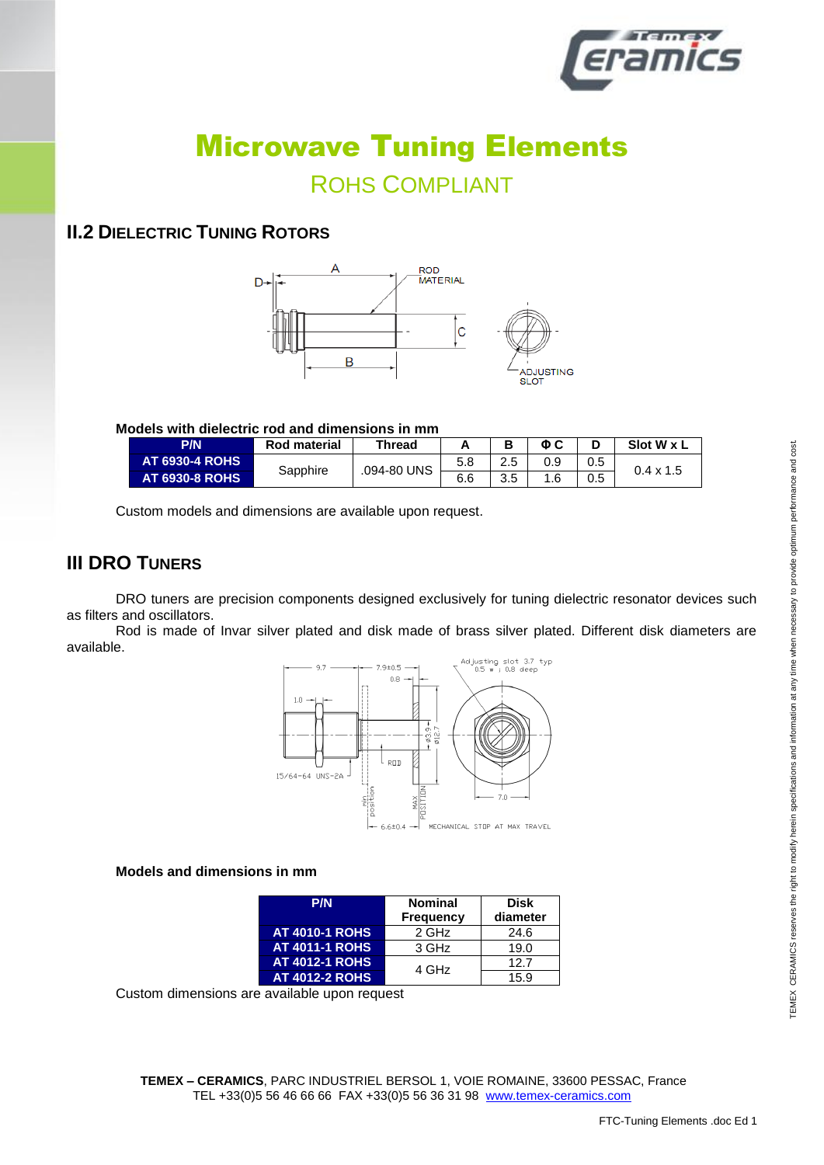

### ROHS COMPLIANT

#### **II.2 DIELECTRIC TUNING ROTORS**



#### **Models with dielectric rod and dimensions in mm**

| <b>P/N</b>            | Rod material | Thread      | <u>гч</u> |           | ΦC. |     | Slot W x L       |
|-----------------------|--------------|-------------|-----------|-----------|-----|-----|------------------|
| <b>AT 6930-4 ROHS</b> | Sapphire     | .094-80 UNS | 5.8       | 2.5       |     | 0.5 |                  |
| <b>AT 6930-8 ROHS</b> |              |             | 6.6       | つに<br>ن.ر |     | 0.5 | $0.4 \times 1.5$ |

Custom models and dimensions are available upon request.

#### **III DRO TUNERS**

DRO tuners are precision components designed exclusively for tuning dielectric resonator devices such as filters and oscillators.

Rod is made of Invar silver plated and disk made of brass silver plated. Different disk diameters are available.



#### **Models and dimensions in mm**

| P/N                   | <b>Nominal</b><br><b>Frequency</b> | <b>Disk</b><br>diameter |  |  |
|-----------------------|------------------------------------|-------------------------|--|--|
| <b>AT 4010-1 ROHS</b> | 2 GHz                              | 24.6                    |  |  |
| <b>AT 4011-1 ROHS</b> | 3 GHz                              | 19.0                    |  |  |
| <b>AT 4012-1 ROHS</b> | 4 GHz                              | 12.7                    |  |  |
| <b>AT 4012-2 ROHS</b> |                                    | 15.9                    |  |  |

Custom dimensions are available upon request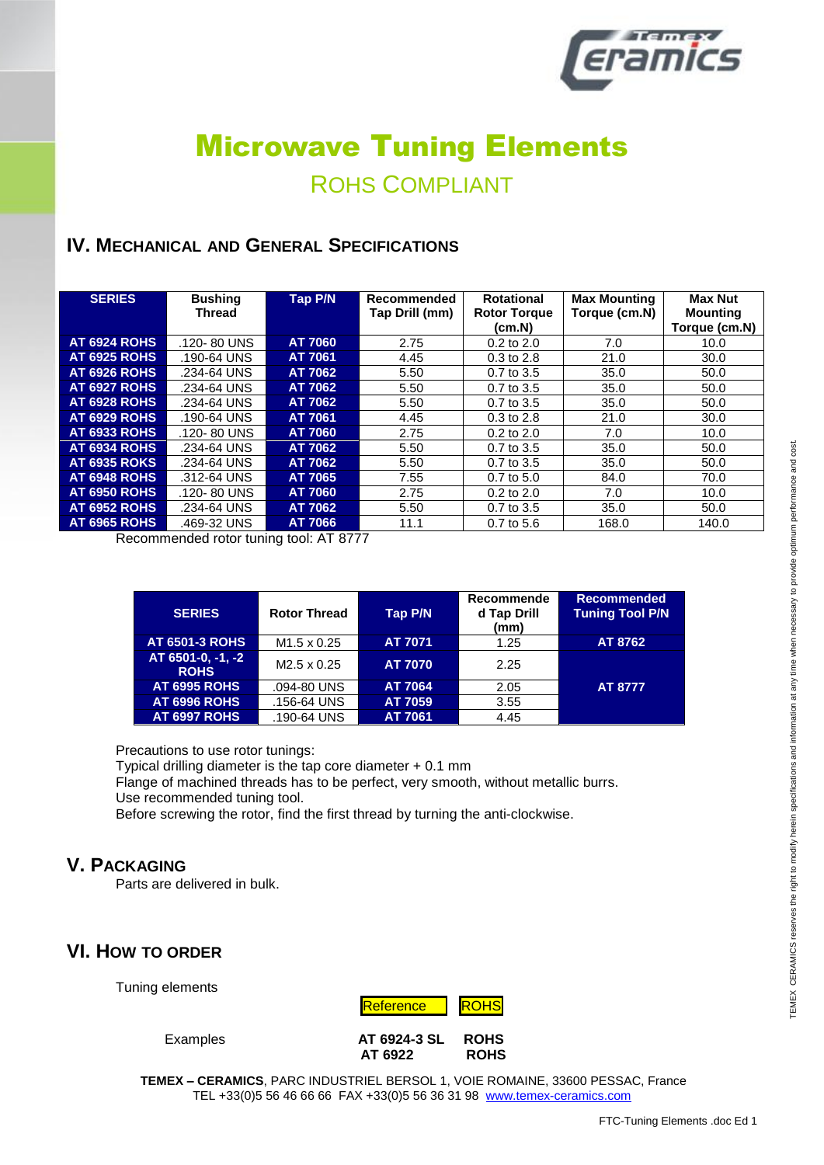

### ROHS COMPLIANT

#### **IV. MECHANICAL AND GENERAL SPECIFICATIONS**

| <b>SERIES</b>       | <b>Bushing</b><br><b>Thread</b> | <b>Tap P/N</b> | Recommended<br>Tap Drill (mm) | <b>Rotational</b><br><b>Rotor Torque</b><br>(cm.N) | <b>Max Mounting</b><br>Torque (cm.N) | <b>Max Nut</b><br><b>Mounting</b><br>Torque (cm.N) |
|---------------------|---------------------------------|----------------|-------------------------------|----------------------------------------------------|--------------------------------------|----------------------------------------------------|
| <b>AT 6924 ROHS</b> | .120-80 UNS                     | <b>AT 7060</b> | 2.75                          | $0.2$ to $2.0$                                     | 7.0                                  | 10.0                                               |
| <b>AT 6925 ROHS</b> | .190-64 UNS                     | AT 7061        | 4.45                          | $0.3$ to $2.8$                                     | 21.0                                 | 30.0                                               |
| <b>AT 6926 ROHS</b> | .234-64 UNS                     | AT 7062        | 5.50                          | $0.7$ to $3.5$                                     | 35.0                                 | 50.0                                               |
| <b>AT 6927 ROHS</b> | .234-64 UNS                     | AT 7062        | 5.50                          | $0.7$ to $3.5$                                     | 35.0                                 | 50.0                                               |
| <b>AT 6928 ROHS</b> | .234-64 UNS                     | AT 7062        | 5.50                          | $0.7$ to $3.5$                                     | 35.0                                 | 50.0                                               |
| <b>AT 6929 ROHS</b> | .190-64 UNS                     | AT 7061        | 4.45                          | $0.3$ to $2.8$                                     | 21.0                                 | 30.0                                               |
| <b>AT 6933 ROHS</b> | .120-80 UNS                     | <b>AT 7060</b> | 2.75                          | $0.2$ to $2.0$                                     | 7.0                                  | 10.0                                               |
| <b>AT 6934 ROHS</b> | .234-64 UNS                     | AT 7062        | 5.50                          | $0.7$ to $3.5$                                     | 35.0                                 | 50.0                                               |
| <b>AT 6935 ROKS</b> | .234-64 UNS                     | AT 7062        | 5.50                          | $0.7$ to $3.5$                                     | 35.0                                 | 50.0                                               |
| <b>AT 6948 ROHS</b> | .312-64 UNS                     | AT 7065        | 7.55                          | $0.7$ to 5.0                                       | 84.0                                 | 70.0                                               |
| <b>AT 6950 ROHS</b> | .120-80 UNS                     | <b>AT 7060</b> | 2.75                          | $0.2$ to $2.0$                                     | 7.0                                  | 10.0                                               |
| <b>AT 6952 ROHS</b> | .234-64 UNS                     | AT 7062        | 5.50                          | $0.7$ to $3.5$                                     | 35.0                                 | 50.0                                               |
| <b>AT 6965 ROHS</b> | .469-32 UNS                     | AT 7066        | 11.1                          | $0.7$ to 5.6                                       | 168.0                                | 140.0                                              |

Recommended rotor tuning tool: AT 8777

| <b>SERIES</b>                    | <b>Rotor Thread</b> | <b>Tap P/N</b> | Recommende<br>d Tap Drill<br>(mm) | <b>Recommended</b><br><b>Tuning Tool P/N</b> |
|----------------------------------|---------------------|----------------|-----------------------------------|----------------------------------------------|
| <b>AT 6501-3 ROHS</b>            | $M1.5 \times 0.25$  | AT 7071        | 1.25                              | AT 8762                                      |
| AT 6501-0, -1, -2<br><b>ROHS</b> | $M2.5 \times 0.25$  | <b>AT 7070</b> | 2.25                              |                                              |
| <b>AT 6995 ROHS</b>              | .094-80 UNS         | <b>AT 7064</b> | 2.05                              | AT 8777                                      |
| <b>AT 6996 ROHS</b>              | .156-64 UNS         | AT 7059        | 3.55                              |                                              |
| <b>AT 6997 ROHS</b>              | .190-64 UNS         | AT 7061        | 4.45                              |                                              |

Precautions to use rotor tunings:

Typical drilling diameter is the tap core diameter + 0.1 mm

Flange of machined threads has to be perfect, very smooth, without metallic burrs. Use recommended tuning tool.

Before screwing the rotor, find the first thread by turning the anti-clockwise.

#### **V. PACKAGING**

Parts are delivered in bulk.

#### **VI. HOW TO ORDER**

Tuning elements



Examples **AT 6924-3 SL ROHS AT 6922 ROHS**